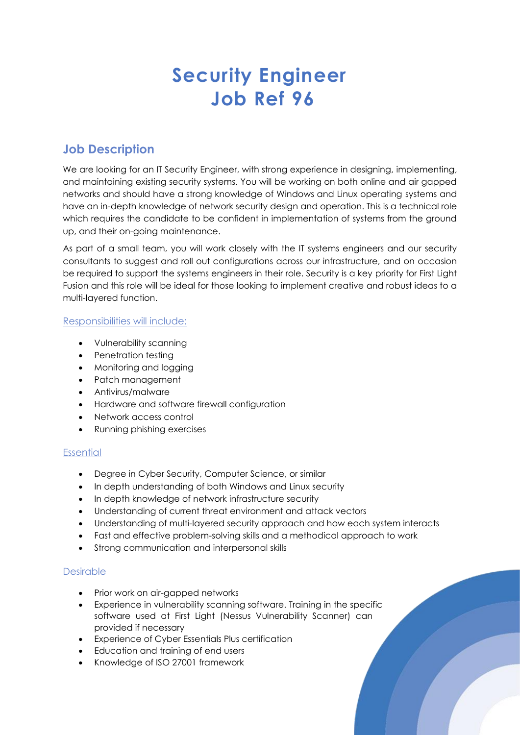# **Security Engineer Job Ref 96**

## **Job Description**

We are looking for an IT Security Engineer, with strong experience in designing, implementing, and maintaining existing security systems. You will be working on both online and air gapped networks and should have a strong knowledge of Windows and Linux operating systems and have an in-depth knowledge of network security design and operation. This is a technical role which requires the candidate to be confident in implementation of systems from the ground up, and their on-going maintenance.

As part of a small team, you will work closely with the IT systems engineers and our security consultants to suggest and roll out configurations across our infrastructure, and on occasion be required to support the systems engineers in their role. Security is a key priority for First Light Fusion and this role will be ideal for those looking to implement creative and robust ideas to a multi-layered function.

### Responsibilities will include:

- Vulnerability scanning
- Penetration testing
- Monitoring and logging
- Patch management
- Antivirus/malware
- Hardware and software firewall configuration
- Network access control
- Running phishing exercises

### **Essential**

- Degree in Cyber Security, Computer Science, or similar
- In depth understanding of both Windows and Linux security
- In depth knowledge of network infrastructure security
- Understanding of current threat environment and attack vectors
- Understanding of multi-layered security approach and how each system interacts
- Fast and effective problem-solving skills and a methodical approach to work
- Strong communication and interpersonal skills

### Desirable

- Prior work on air-gapped networks
- Experience in vulnerability scanning software. Training in the specific software used at First Light (Nessus Vulnerability Scanner) can provided if necessary
- Experience of Cyber Essentials Plus certification
- Education and training of end users
- Knowledge of ISO 27001 framework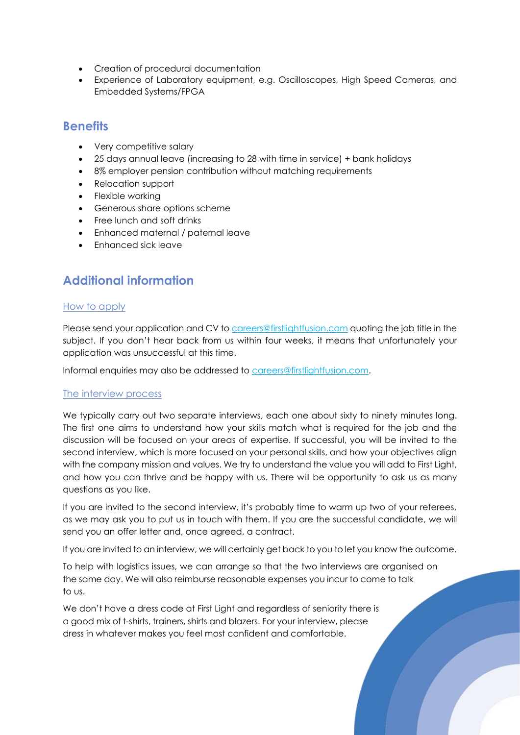- Creation of procedural documentation
- Experience of Laboratory equipment, e.g. Oscilloscopes, High Speed Cameras, and Embedded Systems/FPGA

### **Benefits**

- Very competitive salary
- 25 days annual leave (increasing to 28 with time in service) + bank holidays
- 8% employer pension contribution without matching requirements
- Relocation support
- Flexible working
- Generous share options scheme
- Free lunch and soft drinks
- Enhanced maternal / paternal leave
- Enhanced sick leave

# **Additional information**

### How to apply

Please send your application and CV to [careers@firstlightfusion.com](mailto:careers@firstlightfusion.com) quoting the job title in the subject. If you don't hear back from us within four weeks, it means that unfortunately your application was unsuccessful at this time.

Informal enquiries may also be addressed to [careers@firstlightfusion.com.](mailto:careers@firstlightfusion.com)

### The interview process

We typically carry out two separate interviews, each one about sixty to ninety minutes long. The first one aims to understand how your skills match what is required for the job and the discussion will be focused on your areas of expertise. If successful, you will be invited to the second interview, which is more focused on your personal skills, and how your objectives align with the company mission and values. We try to understand the value you will add to First Light, and how you can thrive and be happy with us. There will be opportunity to ask us as many questions as you like.

If you are invited to the second interview, it's probably time to warm up two of your referees, as we may ask you to put us in touch with them. If you are the successful candidate, we will send you an offer letter and, once agreed, a contract.

If you are invited to an interview, we will certainly get back to you to let you know the outcome.

To help with logistics issues, we can arrange so that the two interviews are organised on the same day. We will also reimburse reasonable expenses you incur to come to talk to us.

We don't have a dress code at First Light and regardless of seniority there is a good mix of t-shirts, trainers, shirts and blazers. For your interview, please dress in whatever makes you feel most confident and comfortable.